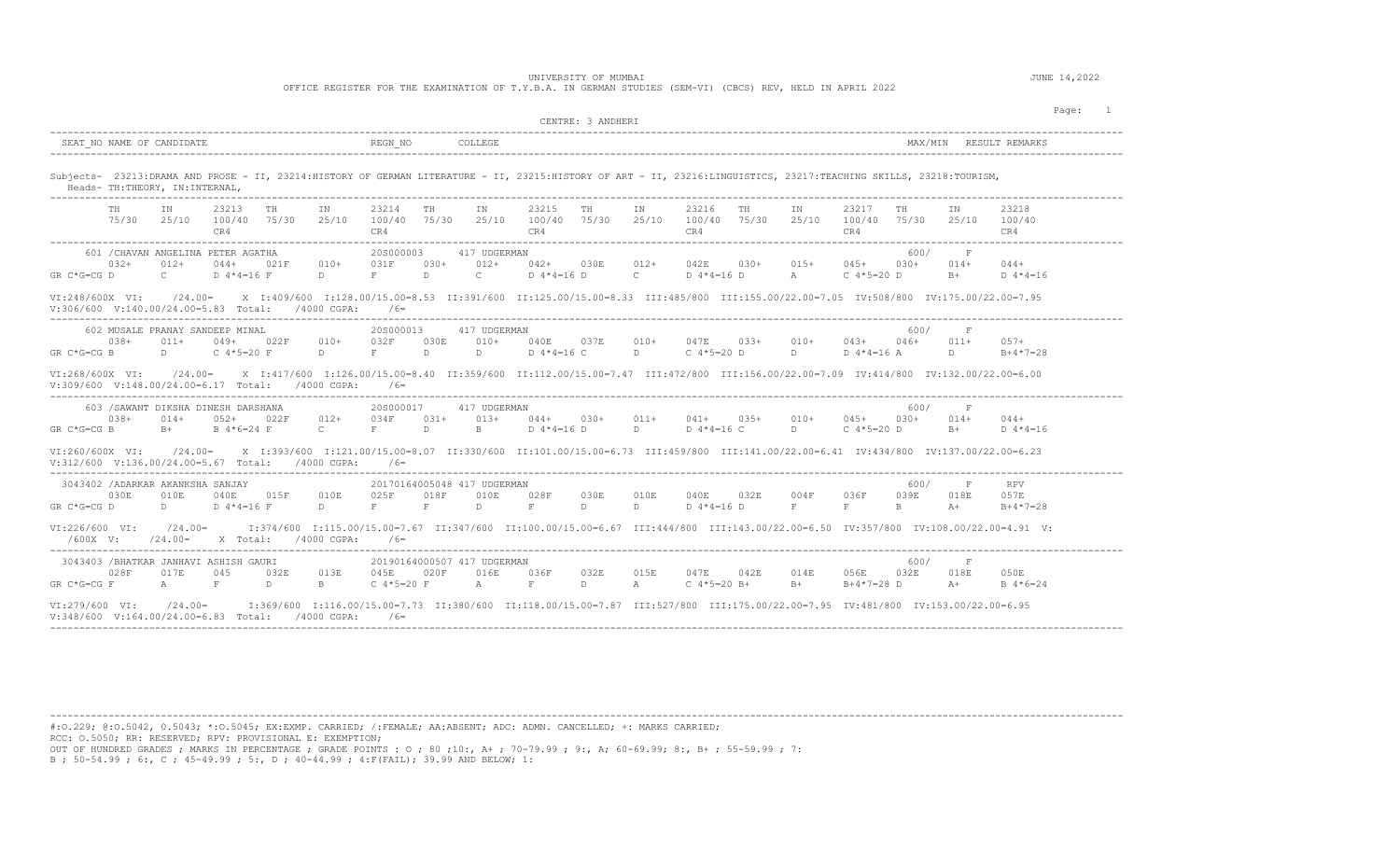## UNIVERSITY OF MUMBAI **JUNE 14,2022**

OFFICE REGISTER FOR THE EXAMINATION OF T.Y.B.A. IN GERMAN STUDIES (SEM-VI) (CBCS) REV, HELD IN APRIL 2022

|                                                                                                                                        | CENTRE: 3 ANDHERI                                                                                                                                                                                                  |                                                                                                     |  |  |  |  |  |  |
|----------------------------------------------------------------------------------------------------------------------------------------|--------------------------------------------------------------------------------------------------------------------------------------------------------------------------------------------------------------------|-----------------------------------------------------------------------------------------------------|--|--|--|--|--|--|
| SEAT NO NAME OF CANDIDATE                                                                                                              | REGN NO<br>COLLEGE                                                                                                                                                                                                 | MAX/MIN RESULT REMARKS                                                                              |  |  |  |  |  |  |
| Heads- TH: THEORY, IN: INTERNAL,                                                                                                       | Subjects- 23213:DRAMA AND PROSE - II, 23214:HISTORY OF GERMAN LITERATURE - II, 23215:HISTORY OF ART - II, 23216:LINGUISTICS, 23217:TEACHING SKILLS, 23218:TOURISM,                                                 |                                                                                                     |  |  |  |  |  |  |
| 23213<br>TH<br>IN<br>TH<br>IN<br>100/40 75/30<br>25/10<br>75/30<br>25/10<br>CR4                                                        | 23214<br>23215<br>23216<br>TH<br>IN<br>TH<br>TH<br>IN<br>IN<br>25/10 100/40 75/30<br>25/10<br>100/40 75/30<br>25/10<br>100/40 75/30<br>CR4<br>CR4<br>CR4                                                           | 23218<br>23217<br>TH<br>ΙN<br>100/40<br>75/30<br>25/10<br>100/40<br>CR4<br>CR4                      |  |  |  |  |  |  |
| 601 / CHAVAN ANGELINA PETER AGATHA<br>$032+$<br>$012+$<br>$044+$<br>021F<br>$010+$<br>GR C*G=CG D<br>$\mathbf{C}$<br>D $4*4=16$ F<br>D | 20S000003<br>417 UDGERMAN<br>$015+$<br>031F<br>$030+$<br>$012+$<br>$042+$<br>030E<br>$012+$<br>042E<br>$030+$<br>F<br>$\mathbb{D}$<br>$\mathbb{C}$<br>$D 4*4=16 D$<br>$\mathbb{C}$<br>$D 4*4=16 D$<br>$\mathbb{A}$ | 600/<br>F<br>$045+$<br>$030+$<br>$014+$<br>$044+$<br>C $4*5=20$ D<br>$B+$<br>D $4*4=16$             |  |  |  |  |  |  |
| VI:248/600X VI:<br>$V:306/600 \t V:140.00/24.00=5.83 \t Total: 74000 CGPA:$                                                            | 20.00 TV:308/800 IC308/800 IC308/800 IC308/800 IC308/800 IC308/800 IC308/800 IC308/800 IC308/800 IC308/800 IC3<br>$/6=$                                                                                            |                                                                                                     |  |  |  |  |  |  |
| 602 MUSALE PRANAY SANDEEP MINAL<br>038+<br>049+<br>022F<br>$010+$<br>$011+$<br>$D \sim 1$<br>$GR C*G=CG B$<br>C $4*5=20$ F<br>D        | 20S000013<br>417 UDGERMAN<br>032F<br>030E<br>010+<br>040E 037E<br>$010+$<br>047E<br>033+<br>$010+$<br>$F$ and $F$<br>$D \sim$<br>$D \qquad \qquad$<br>D 4*4=16 C<br>$\Box$<br>C 4*5=20 D<br>$D \sim 1$             | 600/<br>$\mathbf F$<br>$043+$<br>046+<br>$011+$<br>$057+$<br>D 4*4=16 A<br>D<br>$B+4*7=28$          |  |  |  |  |  |  |
| VI:268/600X VI:<br>$V: 309/600 \t V: 148.00/24.00=6.17 \t Total: 4000 CGPA:$                                                           | /24.00= X I:417/600 I:126.00/15.00=8.40 II:359/600 II:112.00/15.00=7.47 III:472/800 III:156.00/22.00=7.09 IV:414/800 IV:132.00/22.00=6.00<br>$/6=$                                                                 |                                                                                                     |  |  |  |  |  |  |
| 603 / SAWANT DIKSHA DINESH DARSHANA<br>$038+$<br>$012+$<br>014+<br>052+<br>022F<br>$GR C*G=CG B$<br>$B+$<br>B 4*6=24 F<br>$\mathbf{C}$ | 20S000017<br>417 UDGERMAN<br>034F<br>$031+$<br>$013+$<br>$044+$<br>030+<br>$011+$<br>$041+$<br>$035+$<br>010+<br>$\Box$<br>$F$ and $F$<br>D.<br>B<br>$D 4*4=16 D$<br>D $4*4=16$ C<br>$D \sim 1$                    | 600/<br>F<br>$045+$<br>030+<br>$014+$<br>$044+$<br>C $4*5=20$ D<br>$B+$<br>D $4*4=16$               |  |  |  |  |  |  |
| VI:260/600X VI:<br>$V:312/600 \t V:136.00/24.00=5.67 \t Total:$ /4000 CGPA:                                                            | 23.00=0.137.00/22.00= 1:121.00/15.00=8.07 II:330/600 II:101.00/15.00=6.73 III:459/800 III:141.00/22.00=6.41 IV:434/800 IV:137.00/22.00=6.23<br>$/6=$                                                               |                                                                                                     |  |  |  |  |  |  |
| 3043402 / ADARKAR AKANKSHA SANJAY<br>030E<br>010E<br>040E 015F<br>010E<br>$GR C*G=CG D$<br>$D \Box$<br>$D$ 4*4=16 F<br>D               | 20170164005048 417 UDGERMAN<br>025F<br>018F<br>010E<br>028F<br>030E<br>010E<br>040E<br>032E<br>004F<br>F<br>$\mathbf F$<br>F<br>F.<br>D.<br>D.<br>D.<br>$D 4*4=16 D$                                               | 600/<br>$\mathbf F$<br><b>RPV</b><br>036F<br>039E<br>018E<br>057E<br>F<br>B.<br>$A +$<br>$B+4*7=28$ |  |  |  |  |  |  |
| $/24.00=$<br>VI:226/600 VI:<br>$/24.00=$<br>X Total: /4000 CGPA:<br>$/600X$ V:                                                         | I:347600 I:115.00/15.00=7.67 II:347/600 II:100.00/15.00=6.67 III:444/800 III:143.00/22.00=6.50 IV:357/800 IV:108.00/22.00=4.91 V:<br>$/6=$                                                                         |                                                                                                     |  |  |  |  |  |  |
| 3043403 /BHATKAR JANHAVI ASHISH GAURI<br>028F<br>045<br>017E<br>032E<br>013E<br>$GR C*G=CG F$<br>F<br>D.<br>$\mathbf{B}$<br>A          | 20190164000507 417 UDGERMAN<br>032E<br>015E<br>042E<br>045E<br>020F<br>016E<br>036F<br>047E<br>014E<br>$C$ 4*5=20 B+<br>C $4*5=20$ F<br>$\overline{A}$<br>$_{\rm F}$<br>D.<br>A<br>$B+$                            | 600/<br>F<br>056E<br>032E<br>018E<br>050E<br>$B+4*7=28$ D<br>$A +$<br>$B \ 4*6=24$                  |  |  |  |  |  |  |
|                                                                                                                                        | 00/15.00/15.00/15.00=7.73 II:380/600 II:118.00/15.00=7.87 III:527/800 III:175.00/22.00=7.95 IV:481/800 IV:153.00/22.00=6.95                                                                                        |                                                                                                     |  |  |  |  |  |  |

---------------------------------------------------------------------------------------------------------------------------------------------------------------------------------------- #:O.229; @:O.5042, 0.5043; \*:O.5045; EX:EXMP. CARRIED; /:FEMALE; AA:ABSENT; ADC: ADMN. CANCELLED; +: MARKS CARRIED; RCC: O.5050; RR: RESERVED; RPV: PROVISIONAL E: EXEMPTION; OUT OF HUNDRED GRADES ; MARKS IN PERCENTAGE ; GRADE POINTS : O ; 80 ;10:, A+ ; 70-79.99 ; 9:, A; 60-69.99; 8:, B+ ; 55-59.99 ; 7: B ; 50-54.99 ; 6:, C ; 45-49.99 ; 5:, D ; 40-44.99 ; 4:F(FAIL); 39.99 AND BELOW; 1: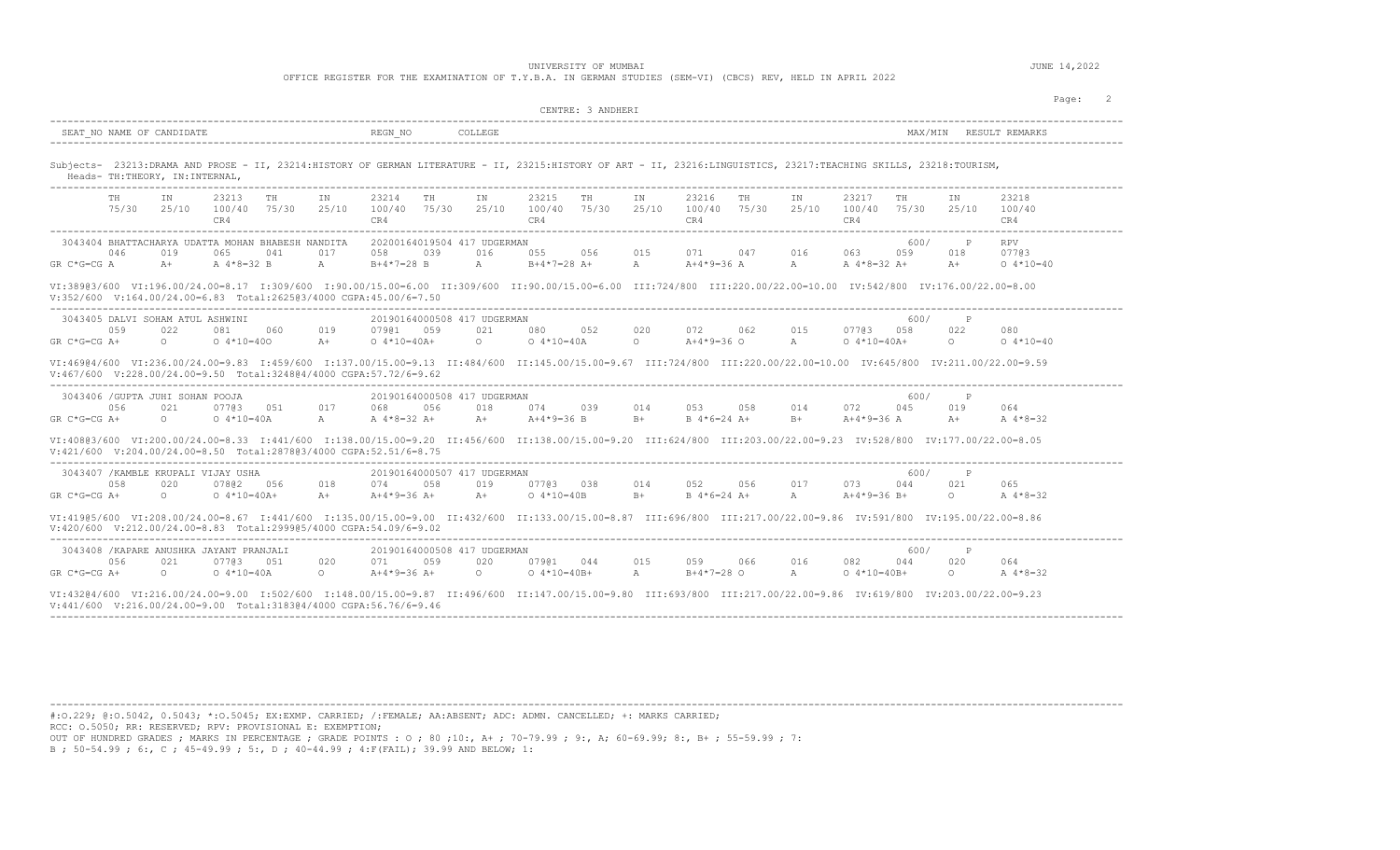OFFICE REGISTER FOR THE EXAMINATION OF T.Y.B.A. IN GERMAN STUDIES (SEM-VI) (CBCS) REV, HELD IN APRIL 2022

| SEAT NO NAME OF CANDIDATE                                                                                                                         | REGN NO<br>COLLEGE                                                                                                                                                                                                                                                                                                                                                                                   | MAX/MTN                                                                                                  |
|---------------------------------------------------------------------------------------------------------------------------------------------------|------------------------------------------------------------------------------------------------------------------------------------------------------------------------------------------------------------------------------------------------------------------------------------------------------------------------------------------------------------------------------------------------------|----------------------------------------------------------------------------------------------------------|
| Heads- TH: THEORY, IN: INTERNAL,<br>-----------------------------------                                                                           | Subjects- 23213:DRAMA AND PROSE - II, 23214:HISTORY OF GERMAN LITERATURE - II, 23215:HISTORY OF ART - II, 23216:LINGUISTICS, 23217:TEACHING SKILLS, 23218:TOURISM,                                                                                                                                                                                                                                   |                                                                                                          |
| 23213<br>TH<br>TH<br>IN<br>IN<br>25/10<br>25/10<br>75/30<br>100/40 75/30<br>CR4                                                                   | 23214<br>TH<br>IN<br>23215<br>23216<br>IN<br>TH<br>IN<br>TH<br>100/40 75/30<br>25/10<br>100/40 75/30<br>25/10<br>100/40 75/30<br>25/10<br>CR4<br>CR4<br>CR4<br>---------------------                                                                                                                                                                                                                 | 23217<br>IN<br>23218<br>TH<br>100/40<br>75/30<br>25/10<br>100/40<br>CR4<br>CR4                           |
| 3043404 BHATTACHARYA UDATTA MOHAN BHABESH NANDITA<br>046<br>019<br>065<br>041<br>017<br>$GR C*G=CG A$<br>A $4*8=32$ B<br>$A+$<br>$\mathbb{A}$     | ------------------<br>-----------------------<br>20200164019504 417 UDGERMAN<br>016<br>015<br>058<br>039<br>055<br>056<br>071<br>047<br>016<br>$B+4*7=28$ B<br>A<br>$B+4*7=28$ A+<br>$A+4*9=36$ A<br>$\mathbb A$<br>$\mathbb{A}$<br>VI:389@3/600 VI:196.00/24.00=8.17 I:309/600 I:90.00/15.00=6.00 II:309/600 II:90.00/15.00=6.00 III:724/800 III:220.00/22.00=10.00 IV:542/800 IV:176.00/22.00=8.00 | 600/<br><b>RPV</b><br>$\mathbb{P}$<br>07703<br>063<br>059<br>018<br>A $4*8=32$ A+<br>$A+$<br>$0.4*10=40$ |
| V:352/600 V:164.00/24.00=6.83 Total:262503/4000 CGPA:45.00/6=7.50                                                                                 |                                                                                                                                                                                                                                                                                                                                                                                                      |                                                                                                          |
| 3043405 DALVI SOHAM ATUL ASHWINI<br>019<br>0.59<br>022<br>081<br>060<br>$0.4*10=400$<br>$GR C*G=CG A+$<br>$\circ$<br>$A +$                        | 20190164000508 417 UDGERMAN<br>020<br>062<br>015<br>0.7901 0.59<br>021<br>080<br>0.52<br>072<br>$0.4*10=40A$<br>$A+4*9=36$ O<br>$0.4*10=40A+$<br>$\circ$<br>$\Omega$<br>$\mathbb{A}$                                                                                                                                                                                                                 | 600/<br>$\mathsf{P}$<br>0.7703 0.58<br>022<br>080<br>$0.4*10=40$<br>$0.4*10=40A+$<br>$\circ$             |
| V:467/600 V:228.00/24.00=9.50 Total:324804/4000 CGPA:57.72/6=9.62                                                                                 | VI:469@4/600 VI:236.00/24.00=9.83 I:459/600 I:137.00/15.00=9.13 II:484/600 II:145.00/15.00=9.67 III:724/800 III:220.00/22.00=10.00 IV:645/800 IV:211.00/22.00=9.59                                                                                                                                                                                                                                   |                                                                                                          |
| 3043406 / GUPTA JUHI SOHAN POOJA<br>056<br>021<br>07703 051<br>017<br>$GR C*G=CG A+$<br>$\cap$<br>$0.4*10=40A$<br>$\mathbb{A}$                    | 20190164000508 417 UDGERMAN<br>018<br>068<br>056<br>074<br>039<br>014<br>053<br>058<br>014<br>A $4*8=32$ A+<br>$A +$<br>$A+4*9=36$ B<br>$B+$<br>$B+$<br>$B \ 4*6=24 \ A+$                                                                                                                                                                                                                            | 600/<br>$\mathbb{P}$<br>072<br>019<br>045<br>064<br>$A+4*9=36 A$<br>$A +$<br>A $4*8=32$                  |
| V:421/600 V:204.00/24.00=8.50 Total:287803/4000 CGPA:52.51/6=8.75                                                                                 | VI:408@3/600 VI:200.00/24.00=8.33 I:441/600 I:138.00/15.00=9.20 II:456/600 II:138.00/15.00=9.20 III:624/800 III:203.00/22.00=9.23 IV:528/800 IV:177.00/22.00=8.05                                                                                                                                                                                                                                    |                                                                                                          |
| 3043407 / KAMBLE KRUPALI VIJAY USHA<br>058<br>020<br>07802 056<br>018<br>$GR C*G=CG A+$<br>$\circ$<br>$0.4*10=40A+$<br>$A+$                       | 20190164000507 417 UDGERMAN<br>017<br>058<br>019<br>07703 038<br>014<br>052<br>056<br>074<br>$A+4*9=36$ A+<br>$A+$<br>$0.4*10=40B$<br>$B+$<br>$B \ 4*6=24 \ A+$<br>$\mathbb A$                                                                                                                                                                                                                       | 600/<br>$\mathbb{P}$<br>073<br>021<br>044<br>065<br>$A+4*9=36 B+$<br>$\circ$<br>A $4*8=32$               |
| $V: 420/600$ $V: 212.00/24.00=8.83$ Total:299905/4000 CGPA:54.09/6=9.02                                                                           | VI:419@5/600 VI:208.00/24.00=8.67 I:441/600 I:135.00/15.00=9.00 II:432/600 II:133.00/15.00=8.87 III:696/800 III:217.00/22.00=9.86 IV:591/800 IV:195.00/22.00=8.86                                                                                                                                                                                                                                    |                                                                                                          |
| 3043408 / KAPARE ANUSHKA JAYANT PRANJALI<br>056<br>021<br>07703 051<br>020<br>$GR C*G=CG A+$<br>$\Omega$ and $\Omega$<br>$0.4*10=40A$<br>$\Omega$ | 20190164000508 417 UDGERMAN<br>071<br>059<br>020<br>07901 044<br>015<br>059<br>066<br>016<br>$A+4*9=36$ A+<br>$\Omega$<br>$0.4*10=40B+$<br>A<br>$B+4*7=28$ O<br>A                                                                                                                                                                                                                                    | 600/<br>$\mathbb{P}$<br>082<br>044<br>020<br>064<br>$0.4*10=40B+$<br>$\circ$<br>A 4*8=32                 |
|                                                                                                                                                   | VI:43204/600 VI:216.00/24.00=9.00 I:502/600 I:148.00/15.00=9.87 II:496/600 II:147.00/15.00=9.80 III:693/800 III:217.00/22.00=9.86 IV:619/800 IV:203.00/22.00=9.23                                                                                                                                                                                                                                    |                                                                                                          |

----------------------------------------------------------------------------------------------------------------------------------------------------------------------------------------

#:O.229; @:O.5042, 0.5043; \*:O.5045; EX:EXMP. CARRIED; /:FEMALE; AA:ABSENT; ADC: ADMN. CANCELLED; +: MARKS CARRIED; RCC: O.5050; RR: RESERVED; RPV: PROVISIONAL E: EXEMPTION;

OUT OF HUNDRED GRADES ; MARKS IN PERCENTAGE ; GRADE POINTS : O ; 80 ;10:, A+ ; 70-79.99 ; 9:, A; 60-69.99; 8:, B+ ; 55-59.99 ; 7:<br>B ; 50-54.99 ; 6:, C ; 45-49.99 ; 5:, D ; 40-44.99 ; 4:F(FAIL); 39.99 AND BELOW; 1: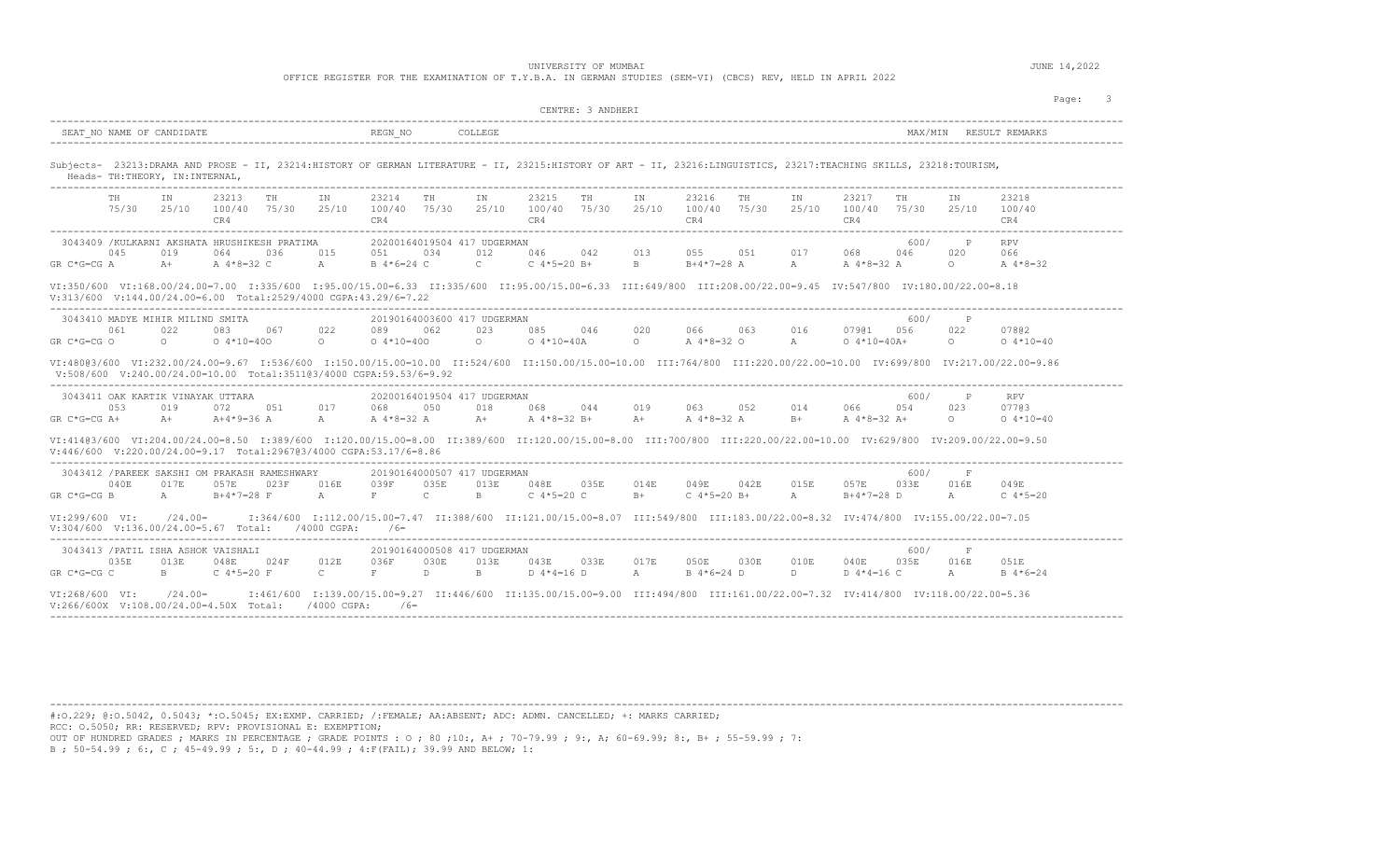OFFICE REGISTER FOR THE EXAMINATION OF T.Y.B.A. IN GERMAN STUDIES (SEM-VI) (CBCS) REV, HELD IN APRIL 2022

| Page: 3<br>CENTRE: 3 ANDHERI                                                                                                                                                                         |                                                                                                                                     |                                                                                                                                                                                                                   |             |  |  |  |  |  |  |  |  |  |  |
|------------------------------------------------------------------------------------------------------------------------------------------------------------------------------------------------------|-------------------------------------------------------------------------------------------------------------------------------------|-------------------------------------------------------------------------------------------------------------------------------------------------------------------------------------------------------------------|-------------|--|--|--|--|--|--|--|--|--|--|
|                                                                                                                                                                                                      |                                                                                                                                     |                                                                                                                                                                                                                   |             |  |  |  |  |  |  |  |  |  |  |
| Subjects- 23213:DRAMA AND PROSE - II, 23214:HISTORY OF GERMAN LITERATURE - II, 23215:HISTORY OF ART - II, 23216:LINGUISTICS, 23217:TEACHING SKILLS, 23218:TOURISM,<br>Heads- TH:THEORY, IN:INTERNAL, |                                                                                                                                     |                                                                                                                                                                                                                   |             |  |  |  |  |  |  |  |  |  |  |
| 23213 TH<br>TH<br>IN<br>IN<br>CR4                                                                                                                                                                    | 23214<br><b>TH</b><br>IN<br>23215<br><b>TH</b><br>IN<br>CR4<br>CR4                                                                  | 23216<br><b>TH</b><br>IN<br>23217<br>23218<br>TH<br>TN<br>75/30  25/10  100/40  75/30  25/10  100/40  75/30  25/10  100/40  75/30  25/10  100/40  75/30  25/10  100/40  75/30  25/10  100/40<br>CR4<br>CR4<br>CR4 |             |  |  |  |  |  |  |  |  |  |  |
| 3043409 / KULKARNI AKSHATA HRUSHIKESH PRATIMA<br>045<br>019<br>064<br>GR C*G=CG A<br>$A \, 4*8=32$ C A<br>$A+$                                                                                       | 20200164019504 417 UDGERMAN<br>036 015 051 034 012 046 042 013<br>B 4*6=24 C<br>C C $4*5=20$ B+ B B+4 $*7=28$ A A                   | 600/ P<br><b>RPV</b><br>055 051 017 068 046<br>020<br>066<br>A 4*8=32 A<br>$\circ$<br>A 4*8=32                                                                                                                    |             |  |  |  |  |  |  |  |  |  |  |
| V:313/600 V:144.00/24.00=6.00 Total:2529/4000 CGPA:43.29/6=7.22                                                                                                                                      |                                                                                                                                     | VI:350/600 VI:168.00/24.00=7.00 I:335/600 I:95.00/15.00=6.33 II:335/600 II:95.00/15.00=6.33 III:649/800 III:208.00/22.00=9.45 IV:547/800 IV:180.00/22.00=8.18                                                     |             |  |  |  |  |  |  |  |  |  |  |
| 3043410 MADYE MIHIR MILIND SMITA<br>022<br>083 067 022<br>061<br>$0 \t 0 \t 4*10=400 \t 0$<br>GR C*G=CG O                                                                                            | 20190164003600 417 UDGERMAN<br>089<br>062<br>023<br>085 046 020<br>$0.4*10=400$ 0<br>$0.4*10=40A$ 0                                 | 600/<br>$\mathbb{P}$<br>066 063 016 07901 056<br>022<br>07802<br>A 4 * 8 = 32 O A<br>$0.4*10=40A+$<br>$\circ$                                                                                                     | $0.4*10=40$ |  |  |  |  |  |  |  |  |  |  |
| $V:508/600$ $V:240.00/24.00=10.00$ Total:351103/4000 CGPA:59.53/6=9.92                                                                                                                               |                                                                                                                                     | 06.9=20./00/24.00=9.67 11.536/600 11.150.00/15.00=10.00 11:524/600 11:150.00/15.00=10.00 111:764/800 111:220.00/22.00=10.00 1V:699/800 1V:217.00/22.00=9.86                                                       |             |  |  |  |  |  |  |  |  |  |  |
| 3043411 OAK KARTIK VINAYAK UTTARA<br>053 019<br>GR C*G=CG A+ $A+$ $A+4*9=36$ A $A$                                                                                                                   | 20200164019504 417 UDGERMAN<br>072 051 017 068 050 018 068 044 019 063 052 014 066 054<br>A 4*8=32 A A+ A 4*8=32 B+ A+              | 600/<br>$\mathbb{P}$<br>RPV<br>023<br>07703<br>A 4 * 8 = 32 A B + A 4 * 8 = 32 A +<br>$\Omega$                                                                                                                    | $0.4*10=40$ |  |  |  |  |  |  |  |  |  |  |
| V:446/600 V:220.00/24.00=9.17 Total:2967@3/4000 CGPA:53.17/6=8.86                                                                                                                                    |                                                                                                                                     | VI:414@3/600 VI:204.00/24.00=8.50 I:389/600 I:120.00/15.00=8.00 II:389/600 II:120.00/15.00=8.00 III:700/800 III:220.00/22.00=10.00 IV:629/800 IV:209.00/22.00=9.50                                                |             |  |  |  |  |  |  |  |  |  |  |
| 3043412 /PAREEK SAKSHI OM PRAKASH RAMESHWARY<br>040E<br>017E<br>057E<br>023F 016E<br>$GR C*G=CG B$<br>$A$ and $A$<br>$B+4*7=28$ F<br>A                                                               | 20190164000507 417 UDGERMAN<br>048E 035E 014E<br>039F<br>035E<br>013E<br>$\mathbb{C}$<br>$B = 1$<br>C $4*5=20$ C<br>$B+$<br>$F = 1$ | 600/<br>- F<br>049E 042E 015E 057E 033E<br>016E<br>049E<br>$C$ 4*5=20 B+<br>$A$ and $A$<br>$B+4*7=28$ D<br>A<br>C $4*5=20$                                                                                        |             |  |  |  |  |  |  |  |  |  |  |
| VI:299/600 VI:<br>V:304/600 V:136.00/24.00=5.67 Total: /4000 CGPA: /6=                                                                                                                               |                                                                                                                                     | /24.00= I:364/600 I:112.00/15.00=7.47 II:388/600 II:121.00/15.00=8.07 III:549/800 III:183.00/22.00=8.32 IV:474/800 IV:155.00/22.00=7.05                                                                           |             |  |  |  |  |  |  |  |  |  |  |
| 3043413 /PATIL ISHA ASHOK VAISHALI<br>035E 013E 048E 024F 012E 036F<br>GR C*G=CG C<br>B C 4*5=20 F C                                                                                                 | 20190164000508 417 UDGERMAN<br>030E<br>$F$ and $F$<br>$D$ B<br>$D$ 4 $*$ 4 = 16 $D$ A                                               | 600/<br>$-$ F<br>013E  043E  033E  017E  050E  030E  010E  040E  035E  016E<br>051E<br>B 4*6=24 D<br>$D \sim 1$<br>$D$ 4*4=16 C<br>A<br>$B \ 4*6=24$                                                              |             |  |  |  |  |  |  |  |  |  |  |
| VI:268/600 VI: /24.00=                                                                                                                                                                               |                                                                                                                                     | I:401/600 I:139.00/15.00=9.27 II:446/600 II:135.00/15.00=9.00 III:494/800 III:161.00/22.00=7.32 IV:414/800 IV:118.00/22.00=5.36                                                                                   |             |  |  |  |  |  |  |  |  |  |  |

----------------------------------------------------------------------------------------------------------------------------------------------------------------------------------------

---------------------------------------------------------------------------------------------------------------------------------------------------------------------------------------- #:O.229; @:O.5042, 0.5043; \*:O.5045; EX:EXMP. CARRIED; /:FEMALE; AA:ABSENT; ADC: ADMN. CANCELLED; +: MARKS CARRIED; RCC: O.5050; RR: RESERVED; RPV: PROVISIONAL E: EXEMPTION;

OUT OF HUNDRED GRADES ; MARKS IN PERCENTAGE ; GRADE POINTS : O ; 80 ;10:, A+ ; 70-79.99 ; 9:, A; 60-69.99; 8:, B+ ; 55-59.99 ; 7:<br>B ; 50-54.99 ; 6:, C ; 45-49.99 ; 5:, D ; 40-44.99 ; 4:F(FAIL); 39.99 AND BELOW; 1: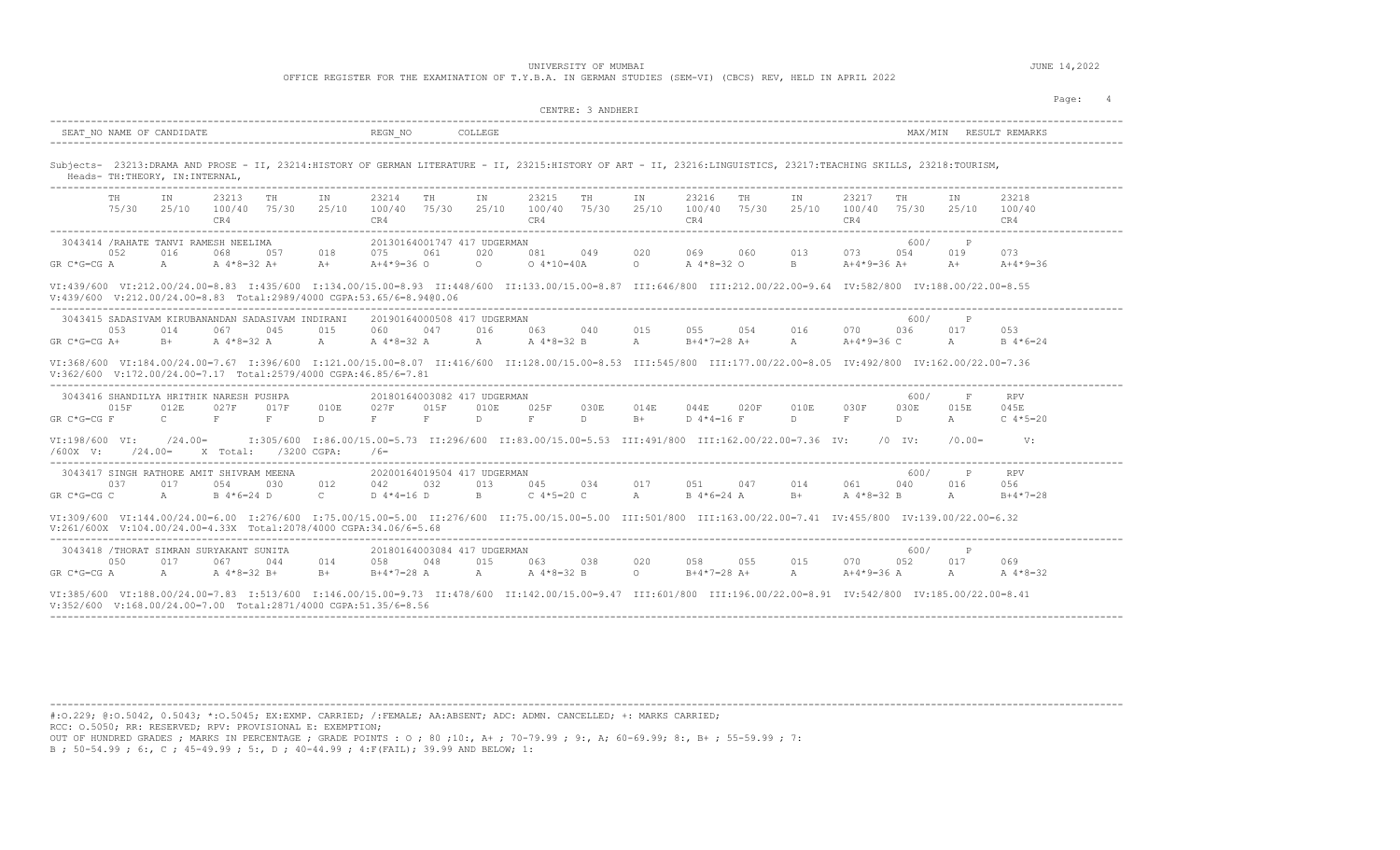OFFICE REGISTER FOR THE EXAMINATION OF T.Y.B.A. IN GERMAN STUDIES (SEM-VI) (CBCS) REV, HELD IN APRIL 2022

|                                                                                                                                                                                                                                                                                                       | CENTRE: 3 ANDHERI                                                                                                                                                                                                                                                                                                                                                       | Page:<br>$\overline{4}$                                                                                                                |
|-------------------------------------------------------------------------------------------------------------------------------------------------------------------------------------------------------------------------------------------------------------------------------------------------------|-------------------------------------------------------------------------------------------------------------------------------------------------------------------------------------------------------------------------------------------------------------------------------------------------------------------------------------------------------------------------|----------------------------------------------------------------------------------------------------------------------------------------|
| SEAT NO NAME OF CANDIDATE                                                                                                                                                                                                                                                                             | REGN NO<br>COLLEGE                                                                                                                                                                                                                                                                                                                                                      |                                                                                                                                        |
| Heads- TH: THEORY, IN: INTERNAL,<br>----------------------------------                                                                                                                                                                                                                                | Subjects- 23213:DRAMA AND PROSE - II, 23214:HISTORY OF GERMAN LITERATURE - II, 23215:HISTORY OF ART - II, 23216:LINGUISTICS, 23217:TEACHING SKILLS, 23218:TOURISM,                                                                                                                                                                                                      |                                                                                                                                        |
| 23213<br>TH<br>TH<br>ΙN<br>ΙN<br>75/30<br>25/10<br>100/40 75/30<br>CR4                                                                                                                                                                                                                                | 23214<br>TH<br>IN<br>23215<br>IN<br>23216<br>TH<br>ΙN<br>TН<br>25/10<br>100/40 75/30<br>25/10<br>100/40 75/30<br>25/10<br>100/40 75/30<br>25/10<br>CR4<br>CR4<br>CR4                                                                                                                                                                                                    | 23217<br>IN<br>23218<br>TH<br>100/40 75/30<br>25/10<br>100/40<br>CR4<br>CR4                                                            |
| 3043414 /RAHATE TANVI RAMESH NEELIMA<br>052<br>016<br>068<br>0.57<br>018<br>$GR C*G=CGA$<br>A<br>A 4*8=32 A+<br>$A +$<br>V:439/600 V:212.00/24.00=8.83 Total:2989/4000 CGPA:53.65/6=8.9400.06                                                                                                         | -------------------------<br>20130164001747 417 UDGERMAN<br>020<br>081<br>049<br>020<br>069<br>060<br>013<br>075<br>061<br>$0.4*10=40A$<br>$A+4*9=36$ O<br>$\circ$<br>$\Omega$<br>A $4*8=32$ O<br>B.<br>VI:439/600 VI:212.00/24.00=8.83 I:435/600 I:134.00/15.00=8.93 II:448/600 II:133.00/15.00=8.87 III:646/800 III:212.00/22.00=9.64 IV:582/800 IV:188.00/22.00=8.55 | 600/<br>$_{\rm P}$<br>073<br>0.54<br>019<br>073<br>A+4*9=36 A+<br>$A +$<br>$A+4*9=36$                                                  |
| 3043415 SADASIVAM KIRUBANANDAN SADASIVAM INDIRANI<br>053<br>045<br>015<br>014<br>067<br>$GR C*G=CG A+$<br>A $4*8=32$ A<br>$B+$<br>$\mathbb{A}$                                                                                                                                                        | 20190164000508 417 UDGERMAN<br>047<br>016<br>063<br>040<br>015<br>055<br>0.54<br>016<br>060<br>A $4*8=32$ A<br>A $4*8=32$ B<br>$B+4*7=28$ A+<br>$\mathbb A$<br>A<br>$\mathbb A$<br>VI:368/600 VI:184.00/24.00=7.67 I:396/600 I:121.00/15.00=8.07 II:416/600 III:128.00/15.00=8.53 III:545/800 III:177.00/22.00=8.05 IV:492/800 IV:162.00/22.00=7.36                     | 600/<br>$\mathbb{P}$<br>070<br>017<br>053<br>036<br>$A+4*9=36$ C<br>$B \ 4*6=24$<br>A                                                  |
| $V: 362/600$ $V: 172.00/24.00=7.17$ Total:2579/4000 CGPA:46.85/6=7.81<br>3043416 SHANDILYA HRITHIK NARESH PUSHPA<br>015F<br>012E<br>027F<br>017F<br>010E<br>$GR C*G=CG F$<br>$\mathbb{C}$<br>F<br>F<br>$\mathbb{D}$<br>VI:198/600 VI:<br>$/24.00=$<br>X Total: /3200 CGPA:<br>$/600X$ V:<br>$/24.00=$ | 20180164003082 417 UDGERMAN<br>025F<br>027F<br>015F<br>010E<br>030E<br>014E<br>044E<br>020F<br>010E<br>$\mathbf{F}$<br>$\mathbb{D}$<br>F<br>D.<br>D<br>F<br>$B+$<br>$D$ 4*4=16 F<br>I:305/600 I:86.00/15.00=5.73 II:296/600 II:83.00/15.00=5.53 III:491/800 III:162.00/22.00=7.36 IV:<br>$/6=$                                                                          | 600/<br>$_{\rm F}$<br><b>RPV</b><br>015E<br>030F<br>030E<br>045E<br>F<br>D<br>$\mathbb A$<br>C $4*5=20$<br>$/0$ TV:<br>V:<br>$/0.00 =$ |
| 3043417 SINGH RATHORE AMIT SHIVRAM MEENA<br>012<br>0.37<br>017<br>054<br>0.30<br>$B$ 4 $*$ 6 = 24 D<br>$\mathbb{C}$<br>GR C*G=CG C<br>$\mathbb{A}$                                                                                                                                                    | 20200164019504 417 UDGERMAN<br>013<br>045<br>017<br>047<br>014<br>042<br>032<br>0.34<br>0.51<br>$D$ 4 $*$ 4 = 16 $D$<br>C $4*5=20$ C<br>$\mathbb{A}$<br>B<br>$B \ 4*6=24 A$<br>$B+$                                                                                                                                                                                     | 600/<br>P<br><b>RPV</b><br>016<br>061<br>040<br>0.56<br>$\lambda$<br>A $4*8=32$ B<br>$B+4*7=28$                                        |
| $V:261/600X$ $V:104.00/24.00=4.33X$ Total:2078/4000 CGPA:34.06/6=5.68                                                                                                                                                                                                                                 | VI:309/600 VI:144.00/24.00=6.00 I:276/600 I:75.00/15.00=5.00 II:276/600 II:75.00/15.00=5.00 III:501/800 III:163.00/22.00=7.41 IV:455/800 IV:139.00/22.00=6.32                                                                                                                                                                                                           |                                                                                                                                        |
| 3043418 /THORAT SIMRAN SURYAKANT SUNITA<br>050<br>017<br>067<br>044                                                                                                                                                                                                                                   | 20180164003084 417 UDGERMAN<br>015<br>063<br>038<br>020<br>058<br>055<br>015<br>014<br>048<br>058                                                                                                                                                                                                                                                                       | 600/<br>$\mathbb{P}$<br>070<br>052<br>017<br>069                                                                                       |

---------------------------------------------------------------------------------------------------------------------------------------------------------------------------------------- #:O.229; @:O.5042, 0.5043; \*:O.5045; EX:EXMP. CARRIED; /:FEMALE; AA:ABSENT; ADC: ADMN. CANCELLED; +: MARKS CARRIED; RCC: O.5050; RR: RESERVED; RPV: PROVISIONAL E: EXEMPTION;

OUT OF HUNDRED GRADES ; MARKS IN PERCENTAGE ; GRADE POINTS : O ; 80 ;10:, A+ ; 70-79.99 ; 9:, A; 60-69.99; 8:, B+ ; 55-59.99 ; 7:<br>B ; 50-54.99 ; 6:, C ; 45-49.99 ; 5:, D ; 40-44.99 ; 4:F(FAIL); 39.99 AND BELOW; 1: